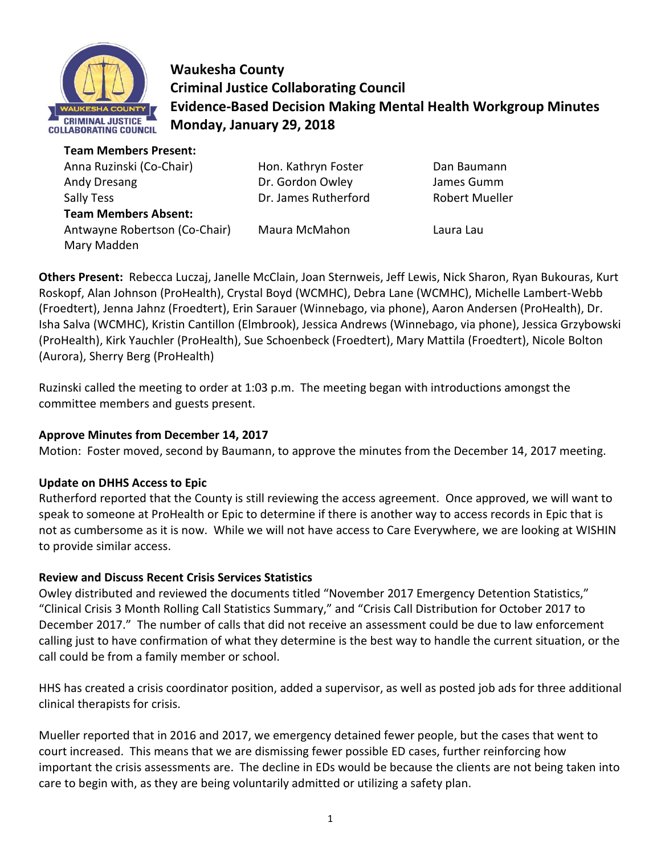

**Waukesha County Criminal Justice Collaborating Council Evidence-Based Decision Making Mental Health Workgroup Minutes Monday, January 29, 2018** 

**Team Members Present:** 

Anna Ruzinski (Co-Chair) **Hon. Kathryn Foster** Dan Baumann Andy Dresang Dr. Gordon Owley James Gumm Sally Tess **Sally Tess Example 2** Dr. James Rutherford Robert Mueller **Team Members Absent:** Antwayne Robertson (Co-Chair) Maura McMahon Laura Lau Mary Madden

**Others Present:** Rebecca Luczaj, Janelle McClain, Joan Sternweis, Jeff Lewis, Nick Sharon, Ryan Bukouras, Kurt Roskopf, Alan Johnson (ProHealth), Crystal Boyd (WCMHC), Debra Lane (WCMHC), Michelle Lambert-Webb (Froedtert), Jenna Jahnz (Froedtert), Erin Sarauer (Winnebago, via phone), Aaron Andersen (ProHealth), Dr. Isha Salva (WCMHC), Kristin Cantillon (Elmbrook), Jessica Andrews (Winnebago, via phone), Jessica Grzybowski (ProHealth), Kirk Yauchler (ProHealth), Sue Schoenbeck (Froedtert), Mary Mattila (Froedtert), Nicole Bolton (Aurora), Sherry Berg (ProHealth)

Ruzinski called the meeting to order at 1:03 p.m. The meeting began with introductions amongst the committee members and guests present.

# **Approve Minutes from December 14, 2017**

Motion: Foster moved, second by Baumann, to approve the minutes from the December 14, 2017 meeting.

# **Update on DHHS Access to Epic**

Rutherford reported that the County is still reviewing the access agreement. Once approved, we will want to speak to someone at ProHealth or Epic to determine if there is another way to access records in Epic that is not as cumbersome as it is now. While we will not have access to Care Everywhere, we are looking at WISHIN to provide similar access.

# **Review and Discuss Recent Crisis Services Statistics**

Owley distributed and reviewed the documents titled "November 2017 Emergency Detention Statistics," "Clinical Crisis 3 Month Rolling Call Statistics Summary," and "Crisis Call Distribution for October 2017 to December 2017." The number of calls that did not receive an assessment could be due to law enforcement calling just to have confirmation of what they determine is the best way to handle the current situation, or the call could be from a family member or school.

HHS has created a crisis coordinator position, added a supervisor, as well as posted job ads for three additional clinical therapists for crisis.

Mueller reported that in 2016 and 2017, we emergency detained fewer people, but the cases that went to court increased. This means that we are dismissing fewer possible ED cases, further reinforcing how important the crisis assessments are. The decline in EDs would be because the clients are not being taken into care to begin with, as they are being voluntarily admitted or utilizing a safety plan.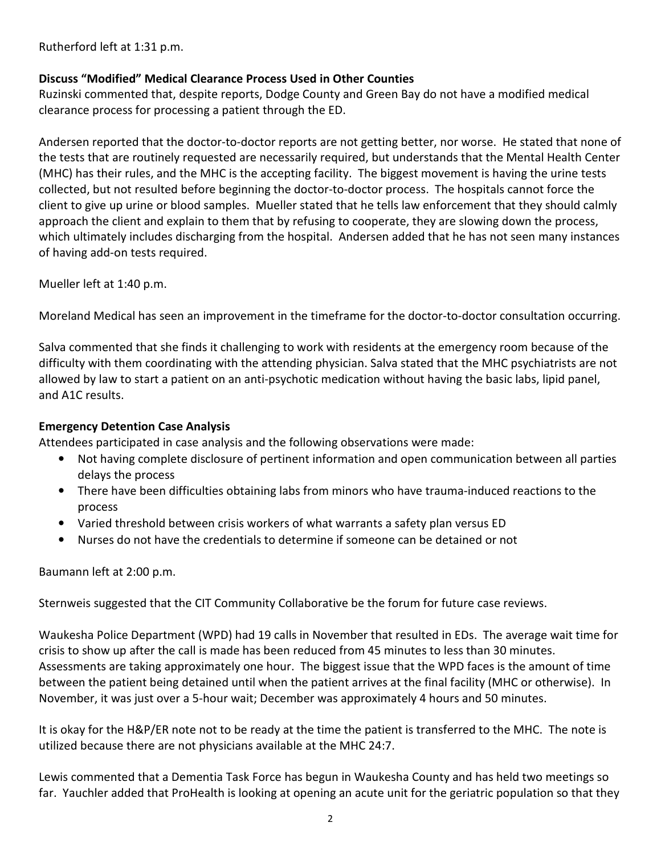Rutherford left at 1:31 p.m.

### **Discuss "Modified" Medical Clearance Process Used in Other Counties**

Ruzinski commented that, despite reports, Dodge County and Green Bay do not have a modified medical clearance process for processing a patient through the ED.

Andersen reported that the doctor-to-doctor reports are not getting better, nor worse. He stated that none of the tests that are routinely requested are necessarily required, but understands that the Mental Health Center (MHC) has their rules, and the MHC is the accepting facility. The biggest movement is having the urine tests collected, but not resulted before beginning the doctor-to-doctor process. The hospitals cannot force the client to give up urine or blood samples. Mueller stated that he tells law enforcement that they should calmly approach the client and explain to them that by refusing to cooperate, they are slowing down the process, which ultimately includes discharging from the hospital. Andersen added that he has not seen many instances of having add-on tests required.

Mueller left at 1:40 p.m.

Moreland Medical has seen an improvement in the timeframe for the doctor-to-doctor consultation occurring.

Salva commented that she finds it challenging to work with residents at the emergency room because of the difficulty with them coordinating with the attending physician. Salva stated that the MHC psychiatrists are not allowed by law to start a patient on an anti-psychotic medication without having the basic labs, lipid panel, and A1C results.

### **Emergency Detention Case Analysis**

Attendees participated in case analysis and the following observations were made:

- Not having complete disclosure of pertinent information and open communication between all parties delays the process
- There have been difficulties obtaining labs from minors who have trauma-induced reactions to the process
- Varied threshold between crisis workers of what warrants a safety plan versus ED
- Nurses do not have the credentials to determine if someone can be detained or not

Baumann left at 2:00 p.m.

Sternweis suggested that the CIT Community Collaborative be the forum for future case reviews.

Waukesha Police Department (WPD) had 19 calls in November that resulted in EDs. The average wait time for crisis to show up after the call is made has been reduced from 45 minutes to less than 30 minutes. Assessments are taking approximately one hour. The biggest issue that the WPD faces is the amount of time between the patient being detained until when the patient arrives at the final facility (MHC or otherwise). In November, it was just over a 5-hour wait; December was approximately 4 hours and 50 minutes.

It is okay for the H&P/ER note not to be ready at the time the patient is transferred to the MHC. The note is utilized because there are not physicians available at the MHC 24:7.

Lewis commented that a Dementia Task Force has begun in Waukesha County and has held two meetings so far. Yauchler added that ProHealth is looking at opening an acute unit for the geriatric population so that they